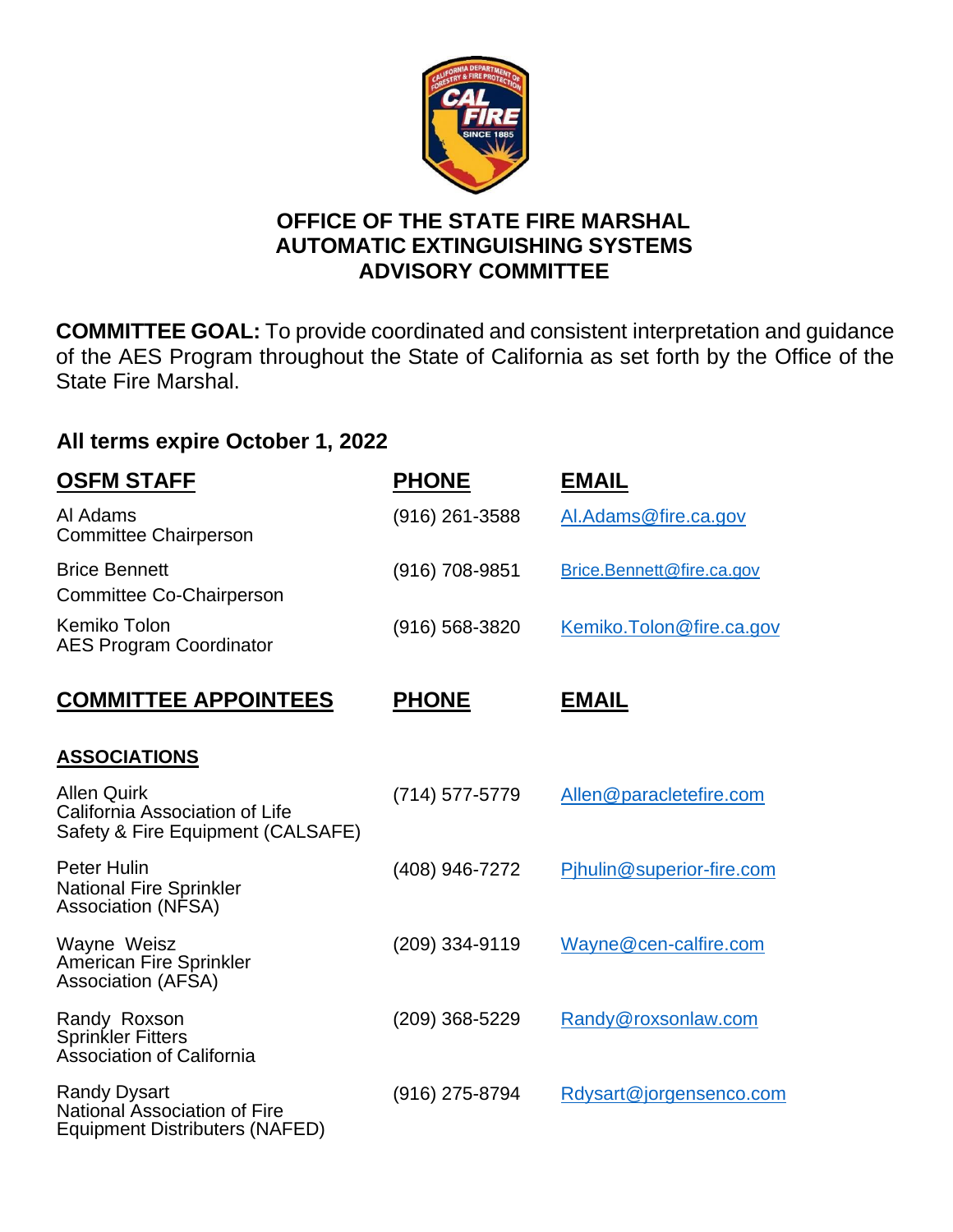

## **OFFICE OF THE STATE FIRE MARSHAL AUTOMATIC EXTINGUISHING SYSTEMS ADVISORY COMMITTEE**

**COMMITTEE GOAL:** To provide coordinated and consistent interpretation and guidance of the AES Program throughout the State of California as set forth by the Office of the State Fire Marshal.

## **All terms expire October 1, 2022**

| <u>OSFM STAFF</u>                                                                            | <b>PHONE</b>       | <b>EMAIL</b>              |
|----------------------------------------------------------------------------------------------|--------------------|---------------------------|
| Al Adams<br><b>Committee Chairperson</b>                                                     | $(916)$ 261-3588   | Al.Adams@fire.ca.gov      |
| <b>Brice Bennett</b><br><b>Committee Co-Chairperson</b>                                      | (916) 708-9851     | Brice.Bennett@fire.ca.gov |
| Kemiko Tolon<br><b>AES Program Coordinator</b>                                               | $(916) 568 - 3820$ | Kemiko. Tolon@fire.ca.gov |
| <b>COMMITTEE APPOINTEES</b>                                                                  | <b>PHONE</b>       | <b>EMAIL</b>              |
| <b>ASSOCIATIONS</b>                                                                          |                    |                           |
| <b>Allen Quirk</b><br>California Association of Life<br>Safety & Fire Equipment (CALSAFE)    | (714) 577-5779     | Allen@paracletefire.com   |
| <b>Peter Hulin</b><br><b>National Fire Sprinkler</b><br><b>Association (NFSA)</b>            | (408) 946-7272     | Pjhulin@superior-fire.com |
| Wayne Weisz<br>American Fire Sprinkler<br><b>Association (AFSA)</b>                          | (209) 334-9119     | Wayne@cen-calfire.com     |
| Randy Roxson<br><b>Sprinkler Fitters</b><br><b>Association of California</b>                 | (209) 368-5229     | Randy@roxsonlaw.com       |
| <b>Randy Dysart</b><br><b>National Association of Fire</b><br>Equipment Distributers (NAFED) | (916) 275-8794     | Rdysart@jorgensenco.com   |